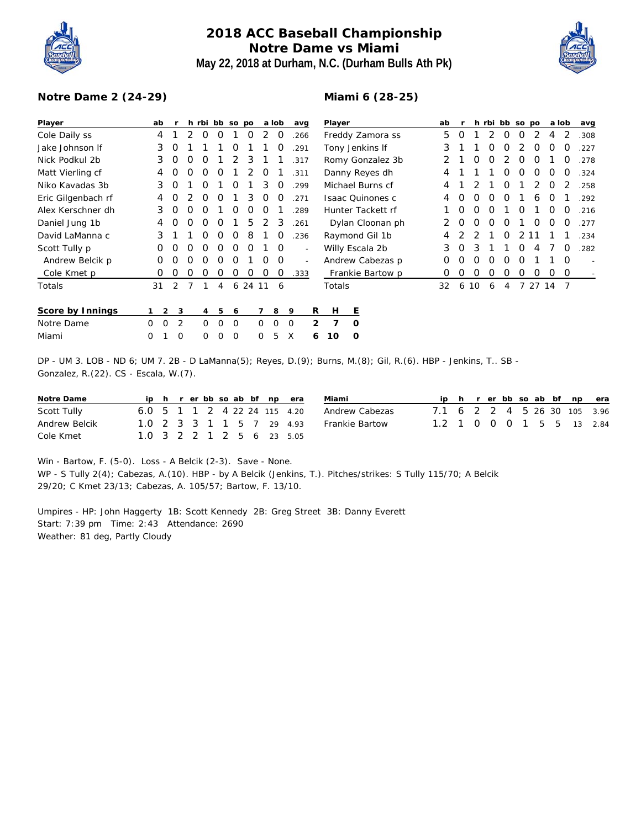

## **2018 ACC Baseball Championship Notre Dame vs Miami May 22, 2018 at Durham, N.C. (Durham Bulls Ath Pk)**

**Miami 6 (28-25)**



## **Notre Dame 2 (24-29)**

| Player             | ab                   |          |   | h rbi bb so po |          |   |       |          | a lob    |   | avq  |              | Player                  |          |                   |          | ab       |          |                  |          | h rbi bb so po |          |          |               | a lob    | avg  |
|--------------------|----------------------|----------|---|----------------|----------|---|-------|----------|----------|---|------|--------------|-------------------------|----------|-------------------|----------|----------|----------|------------------|----------|----------------|----------|----------|---------------|----------|------|
| Cole Daily ss      | 4                    |          | 2 | 0              | O        |   | O     | 2        | 0        |   | .266 |              |                         |          | Freddy Zamora ss  |          | 5        |          |                  |          | O              | $\Omega$ |          | 4             | 2        | .308 |
| Jake Johnson If    | 3                    | O        |   |                |          | O |       |          | O        |   | .291 |              |                         |          | Tony Jenkins If   |          | 3        |          |                  |          | O              |          | $\Omega$ | $\mathcal{L}$ | O        | .227 |
| Nick Podkul 2b     | 3                    | 0        | O | O              |          | 2 | 3     |          |          |   | .317 |              |                         |          | Romy Gonzalez 3b  |          | 2        |          |                  |          |                | $\Omega$ | O        |               | O        | .278 |
| Matt Vierling cf   | 4                    | O        | 0 | $\Omega$       | O        |   | 2     | 0        |          |   | .311 |              |                         |          | Danny Reyes dh    |          | 4        |          |                  |          | O              | $\Omega$ | O        | O             | $\Omega$ | .324 |
| Niko Kavadas 3b    | 3                    | 0        |   | 0              |          | 0 |       | 3        | 0        |   | .299 |              | Michael Burns cf        |          |                   |          | 4        |          |                  |          | O              |          | 2        | O             | 2        | .258 |
| Eric Gilgenbach rf | 4                    | 0        |   | 0              | 0        |   | 3     | 0        | 0        |   | .271 |              | <b>Isaac Quinones c</b> |          | 4                 | $\Omega$ | $\Omega$ | O        | O                |          | 6              | O        |          | .292          |          |      |
| Alex Kerschner dh  | 3                    | $\Omega$ | 0 | O              |          | 0 | 0     | O        |          |   | .289 |              |                         |          | Hunter Tackett rf |          |          | $\Omega$ | $\left($         | $\Omega$ |                | O        |          | O             | O        | .216 |
| Daniel Jung 1b     | 4                    | 0        | O | 0              | 0        |   | 5     | 2        | 3        |   | .261 |              |                         |          | Dylan Cloonan ph  |          |          | O        | $\left( \right)$ | $\Omega$ | O              |          | O        | O             | 0        | .277 |
| David LaManna c    | 3                    |          |   | O              | 0        | 0 | 8     |          | $\Omega$ |   | .236 |              |                         |          | Raymond Gil 1b    |          | 4        |          |                  |          | O              | 2        |          |               |          | .234 |
| Scott Tully p      | 0                    |          | O | O              | 0        | 0 | 0     |          | 0        |   |      |              |                         |          | Willy Escala 2b   |          | 3        |          | 3                |          |                | $\Omega$ |          |               | $\Omega$ | .282 |
| Andrew Belcik p    | 0                    | O        | 0 | O              | O        | O |       | 0        | 0        |   |      |              |                         |          | Andrew Cabezas p  |          | 0        | $\Omega$ | O                | O        | O              | $\Omega$ |          |               | $\Omega$ |      |
| Cole Kmet p        | 0                    | 0        | 0 | 0              | 0        | 0 | 0     | 0        | 0        |   | .333 |              |                         |          | Frankie Bartow p  |          | 0        | O        | O                | 0        | 0              | 0        | 0        | 0             | 0        |      |
| Totals             | 31                   | 2        |   |                | 4        | 6 | 24 11 |          | 6        |   |      |              | Totals                  |          |                   |          | 32       | 6        | 10               | 6        | 4              |          | 27       | 14            | 7        |      |
| Score by Innings   | $\overline{2}$<br>1. | 3        |   | 4              | 5        | 6 |       | 7        | 8        | 9 |      | R            | н                       | Е        |                   |          |          |          |                  |          |                |          |          |               |          |      |
| Notre Dame         | $\Omega$<br>$\Omega$ | 2        |   | $\Omega$       | $\Omega$ | 0 |       | $\Omega$ | 0        | 0 |      | $\mathbf{2}$ | 7                       | $\Omega$ |                   |          |          |          |                  |          |                |          |          |               |          |      |
| Miami              | 0                    | 0        |   | 0              | $\Omega$ | 0 |       | 0        | 5        | X |      | 6            | 10                      | O        |                   |          |          |          |                  |          |                |          |          |               |          |      |

DP - UM 3. LOB - ND 6; UM 7. 2B - D LaManna(5); Reyes, D.(9); Burns, M.(8); Gil, R.(6). HBP - Jenkins, T.. SB - Gonzalez, R.(22). CS - Escala, W.(7).

| <b>Notre Dame</b> |  |  |  |  | ip h r er bb so ab bf np era | Miami          |                              |  |  |  |  | ip h r er bb so ab bf np era |
|-------------------|--|--|--|--|------------------------------|----------------|------------------------------|--|--|--|--|------------------------------|
| Scott Tully       |  |  |  |  | 6.0 5 1 1 2 4 22 24 115 4.20 | Andrew Cabezas | 7.1 6 2 2 4 5 26 30 105 3.96 |  |  |  |  |                              |
| Andrew Belcik     |  |  |  |  | 1.0 2 3 3 1 1 5 7 29 4 93    | Frankie Bartow | 1.2 1 0 0 0 1 5 5 13 2.84    |  |  |  |  |                              |
| Cole Kmet         |  |  |  |  | 1.0 3 2 2 1 2 5 6 23 5.05    |                |                              |  |  |  |  |                              |

Win - Bartow, F. (5-0). Loss - A Belcik (2-3). Save - None. WP - S Tully 2(4); Cabezas, A.(10). HBP - by A Belcik (Jenkins, T.). Pitches/strikes: S Tully 115/70; A Belcik 29/20; C Kmet 23/13; Cabezas, A. 105/57; Bartow, F. 13/10.

Umpires - HP: John Haggerty 1B: Scott Kennedy 2B: Greg Street 3B: Danny Everett Start: 7:39 pm Time: 2:43 Attendance: 2690 Weather: 81 deg, Partly Cloudy